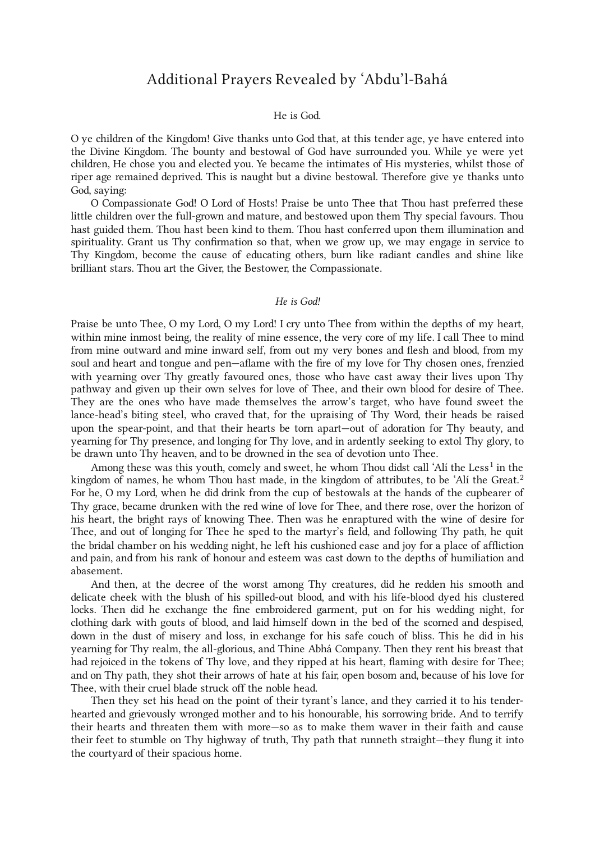# Additional Prayers Revealed by 'Abdu'l‑Bahá

# He is God.

O ye children of the Kingdom! Give thanks unto God that, at this tender age, ye have entered into the Divine Kingdom. The bounty and bestowal of God have surrounded you. While ye were yet children, He chose you and elected you. Ye became the intimates of His mysteries, whilst those of riper age remained deprived. This is naught but a divine bestowal. Therefore give ye thanks unto God, saying:

O Compassionate God! O Lord of Hosts! Praise be unto Thee that Thou hast preferred these little children over the full-grown and mature, and bestowed upon them Thy special favours. Thou hast guided them. Thou hast been kind to them. Thou hast conferred upon them illumination and spirituality. Grant us Thy confirmation so that, when we grow up, we may engage in service to Thy Kingdom, become the cause of educating others, burn like radiant candles and shine like brilliant stars. Thou art the Giver, the Bestower, the Compassionate.

## He is God!

Praise be unto Thee, O my Lord, O my Lord! I cry unto Thee from within the depths of my heart, within mine inmost being, the reality of mine essence, the very core of my life. I call Thee to mind from mine outward and mine inward self, from out my very bones and flesh and blood, from my soul and heart and tongue and pen—aflame with the fire of my love for Thy chosen ones, frenzied with yearning over Thy greatly favoured ones, those who have cast away their lives upon Thy pathway and given up their own selves for love of Thee, and their own blood for desire of Thee. They are the ones who have made themselves the arrow's target, who have found sweet the lance-head's biting steel, who craved that, for the upraising of Thy Word, their heads be raised upon the spear-point, and that their hearts be torn apart—out of adoration for Thy beauty, and yearning for Thy presence, and longing for Thy love, and in ardently seeking to extol Thy glory, to be drawn unto Thy heaven, and to be drowned in the sea of devotion unto Thee.

<span id="page-0-0"></span>Among these was this youth, comely and sweet, he whom Thou didst call 'Alí the Less<sup>[1](#page-1-0)</sup> in the kingdom of names, he whom Thou hast made, in the kingdom of attributes, to be 'Alí the Great.<sup>[2](#page-1-1)</sup> For he, O my Lord, when he did drink from the cup of bestowals at the hands of the cupbearer of Thy grace, became drunken with the red wine of love for Thee, and there rose, over the horizon of his heart, the bright rays of knowing Thee. Then was he enraptured with the wine of desire for Thee, and out of longing for Thee he sped to the martyr's field, and following Thy path, he quit the bridal chamber on his wedding night, he left his cushioned ease and joy for a place of affliction and pain, and from his rank of honour and esteem was cast down to the depths of humiliation and abasement.

And then, at the decree of the worst among Thy creatures, did he redden his smooth and delicate cheek with the blush of his spilled-out blood, and with his life-blood dyed his clustered locks. Then did he exchange the fine embroidered garment, put on for his wedding night, for clothing dark with gouts of blood, and laid himself down in the bed of the scorned and despised, down in the dust of misery and loss, in exchange for his safe couch of bliss. This he did in his yearning for Thy realm, the all-glorious, and Thine Abhá Company. Then they rent his breast that had rejoiced in the tokens of Thy love, and they ripped at his heart, flaming with desire for Thee; and on Thy path, they shot their arrows of hate at his fair, open bosom and, because of his love for Thee, with their cruel blade struck off the noble head.

Then they set his head on the point of their tyrant's lance, and they carried it to his tenderhearted and grievously wronged mother and to his honourable, his sorrowing bride. And to terrify their hearts and threaten them with more—so as to make them waver in their faith and cause their feet to stumble on Thy highway of truth, Thy path that runneth straight—they flung it into the courtyard of their spacious home.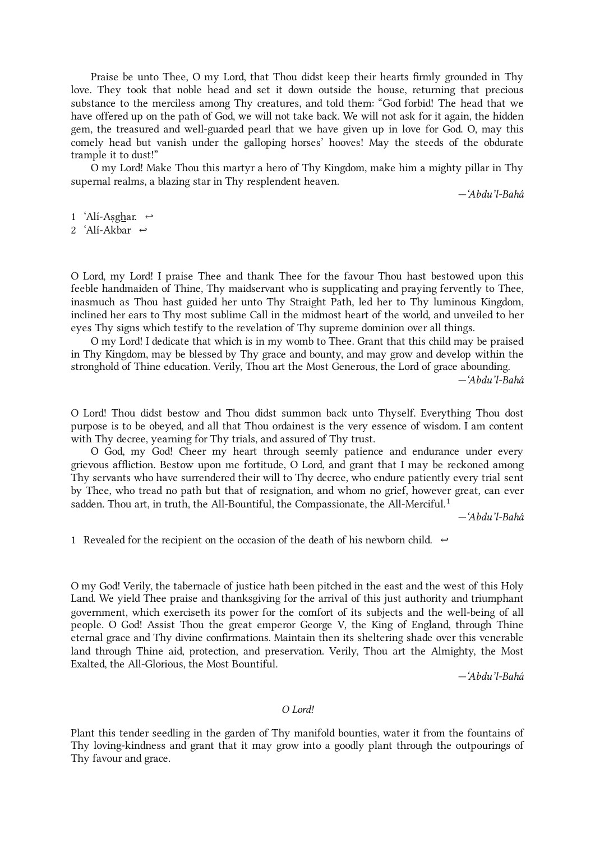Praise be unto Thee, O my Lord, that Thou didst keep their hearts firmly grounded in Thy love. They took that noble head and set it down outside the house, returning that precious substance to the merciless among Thy creatures, and told them: "God forbid! The head that we have offered up on the path of God, we will not take back. We will not ask for it again, the hidden gem, the treasured and well-guarded pearl that we have given up in love for God. O, may this comely head but vanish under the galloping horses' hooves! May the steeds of the obdurate trample it to dust!"

O my Lord! Make Thou this martyr a hero of Thy Kingdom, make him a mighty pillar in Thy supernal realms, a blazing star in Thy resplendent heaven.

—'Abdu'l‑Bahá

- <span id="page-1-0"></span>1 'Alí-Aṣghar.  $\leftrightarrow$
- <span id="page-1-1"></span>'Alí-Akbar [↩](#page-0-0) 2

O Lord, my Lord! I praise Thee and thank Thee for the favour Thou hast bestowed upon this feeble handmaiden of Thine, Thy maidservant who is supplicating and praying fervently to Thee, inasmuch as Thou hast guided her unto Thy Straight Path, led her to Thy luminous Kingdom, inclined her ears to Thy most sublime Call in the midmost heart of the world, and unveiled to her eyes Thy signs which testify to the revelation of Thy supreme dominion over all things.

O my Lord! I dedicate that which is in my womb to Thee. Grant that this child may be praised in Thy Kingdom, may be blessed by Thy grace and bounty, and may grow and develop within the stronghold of Thine education. Verily, Thou art the Most Generous, the Lord of grace abounding.

—'Abdu'l‑Bahá

O Lord! Thou didst bestow and Thou didst summon back unto Thyself. Everything Thou dost purpose is to be obeyed, and all that Thou ordainest is the very essence of wisdom. I am content with Thy decree, yearning for Thy trials, and assured of Thy trust.

<span id="page-1-3"></span>O God, my God! Cheer my heart through seemly patience and endurance under every grievous affliction. Bestow upon me fortitude, O Lord, and grant that I may be reckoned among Thy servants who have surrendered their will to Thy decree, who endure patiently every trial sent by Thee, who tread no path but that of resignation, and whom no grief, however great, can ever sadden. Thou art, in truth, the All-Bountiful, the Compassionate, the All-Merciful.<sup>[1](#page-1-2)</sup>

—'Abdu'l‑Bahá

<span id="page-1-2"></span>1 Revealed for the recipient on the occasion of the death of his newborn child.  $\leftrightarrow$ 

O my God! Verily, the tabernacle of justice hath been pitched in the east and the west of this Holy Land. We yield Thee praise and thanksgiving for the arrival of this just authority and triumphant government, which exerciseth its power for the comfort of its subjects and the well-being of all people. O God! Assist Thou the great emperor George V, the King of England, through Thine eternal grace and Thy divine confirmations. Maintain then its sheltering shade over this venerable land through Thine aid, protection, and preservation. Verily, Thou art the Almighty, the Most Exalted, the All-Glorious, the Most Bountiful.

—'Abdu'l‑Bahá

## O Lord!

Plant this tender seedling in the garden of Thy manifold bounties, water it from the fountains of Thy loving-kindness and grant that it may grow into a goodly plant through the outpourings of Thy favour and grace.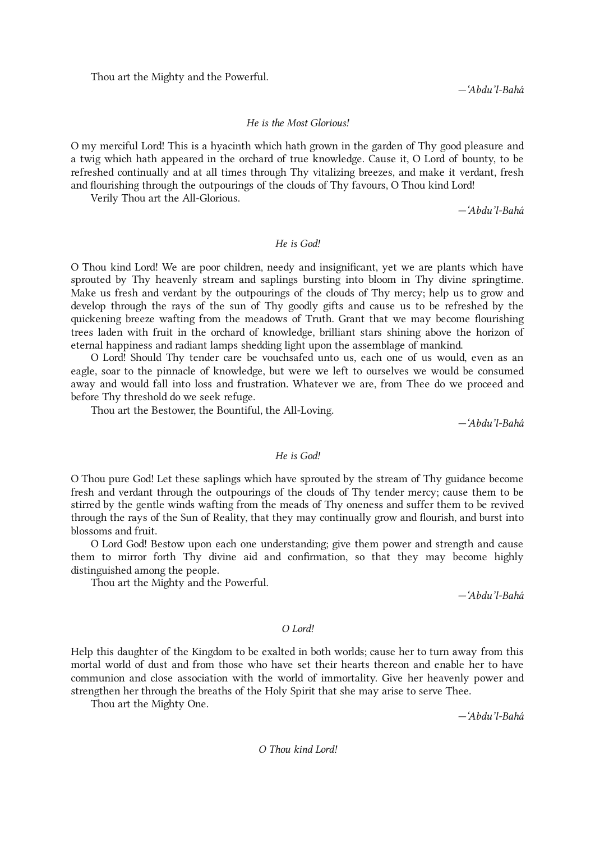Thou art the Mighty and the Powerful.

#### He is the Most Glorious!

O my merciful Lord! This is a hyacinth which hath grown in the garden of Thy good pleasure and a twig which hath appeared in the orchard of true knowledge. Cause it, O Lord of bounty, to be refreshed continually and at all times through Thy vitalizing breezes, and make it verdant, fresh and flourishing through the outpourings of the clouds of Thy favours, O Thou kind Lord!

Verily Thou art the All-Glorious.

—'Abdu'l‑Bahá

# He is God!

O Thou kind Lord! We are poor children, needy and insignificant, yet we are plants which have sprouted by Thy heavenly stream and saplings bursting into bloom in Thy divine springtime. Make us fresh and verdant by the outpourings of the clouds of Thy mercy; help us to grow and develop through the rays of the sun of Thy goodly gifts and cause us to be refreshed by the quickening breeze wafting from the meadows of Truth. Grant that we may become flourishing trees laden with fruit in the orchard of knowledge, brilliant stars shining above the horizon of eternal happiness and radiant lamps shedding light upon the assemblage of mankind.

O Lord! Should Thy tender care be vouchsafed unto us, each one of us would, even as an eagle, soar to the pinnacle of knowledge, but were we left to ourselves we would be consumed away and would fall into loss and frustration. Whatever we are, from Thee do we proceed and before Thy threshold do we seek refuge.

Thou art the Bestower, the Bountiful, the All-Loving.

—'Abdu'l‑Bahá

#### He is God!

O Thou pure God! Let these saplings which have sprouted by the stream of Thy guidance become fresh and verdant through the outpourings of the clouds of Thy tender mercy; cause them to be stirred by the gentle winds wafting from the meads of Thy oneness and suffer them to be revived through the rays of the Sun of Reality, that they may continually grow and flourish, and burst into blossoms and fruit.

O Lord God! Bestow upon each one understanding; give them power and strength and cause them to mirror forth Thy divine aid and confirmation, so that they may become highly distinguished among the people.

Thou art the Mighty and the Powerful.

—'Abdu'l‑Bahá

## O Lord!

Help this daughter of the Kingdom to be exalted in both worlds; cause her to turn away from this mortal world of dust and from those who have set their hearts thereon and enable her to have communion and close association with the world of immortality. Give her heavenly power and strengthen her through the breaths of the Holy Spirit that she may arise to serve Thee.

Thou art the Mighty One.

—'Abdu'l‑Bahá

O Thou kind Lord!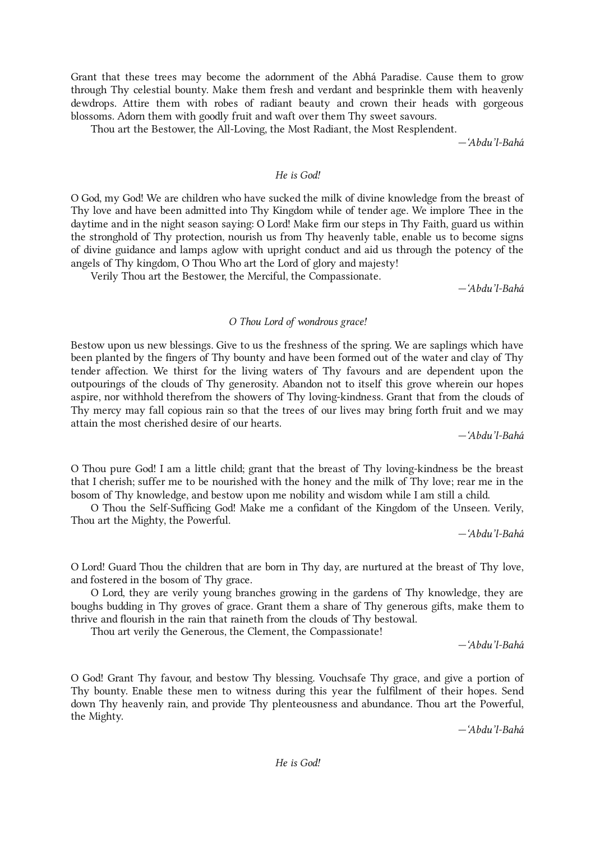Grant that these trees may become the adornment of the Abhá Paradise. Cause them to grow through Thy celestial bounty. Make them fresh and verdant and besprinkle them with heavenly dewdrops. Attire them with robes of radiant beauty and crown their heads with gorgeous blossoms. Adorn them with goodly fruit and waft over them Thy sweet savours.

Thou art the Bestower, the All-Loving, the Most Radiant, the Most Resplendent.

—'Abdu'l‑Bahá

# He is God!

O God, my God! We are children who have sucked the milk of divine knowledge from the breast of Thy love and have been admitted into Thy Kingdom while of tender age. We implore Thee in the daytime and in the night season saying: O Lord! Make firm our steps in Thy Faith, guard us within the stronghold of Thy protection, nourish us from Thy heavenly table, enable us to become signs of divine guidance and lamps aglow with upright conduct and aid us through the potency of the angels of Thy kingdom, O Thou Who art the Lord of glory and majesty!

Verily Thou art the Bestower, the Merciful, the Compassionate.

—'Abdu'l‑Bahá

# O Thou Lord of wondrous grace!

Bestow upon us new blessings. Give to us the freshness of the spring. We are saplings which have been planted by the fingers of Thy bounty and have been formed out of the water and clay of Thy tender affection. We thirst for the living waters of Thy favours and are dependent upon the outpourings of the clouds of Thy generosity. Abandon not to itself this grove wherein our hopes aspire, nor withhold therefrom the showers of Thy loving-kindness. Grant that from the clouds of Thy mercy may fall copious rain so that the trees of our lives may bring forth fruit and we may attain the most cherished desire of our hearts.

—'Abdu'l‑Bahá

O Thou pure God! I am a little child; grant that the breast of Thy loving-kindness be the breast that I cherish; suffer me to be nourished with the honey and the milk of Thy love; rear me in the bosom of Thy knowledge, and bestow upon me nobility and wisdom while I am still a child.

O Thou the Self-Sufficing God! Make me a confidant of the Kingdom of the Unseen. Verily, Thou art the Mighty, the Powerful.

 $-\hat{A}hdu$ 'l-Bahá

O Lord! Guard Thou the children that are born in Thy day, are nurtured at the breast of Thy love, and fostered in the bosom of Thy grace.

O Lord, they are verily young branches growing in the gardens of Thy knowledge, they are boughs budding in Thy groves of grace. Grant them a share of Thy generous gifts, make them to thrive and flourish in the rain that raineth from the clouds of Thy bestowal.

Thou art verily the Generous, the Clement, the Compassionate!

—'Abdu'l‑Bahá

O God! Grant Thy favour, and bestow Thy blessing. Vouchsafe Thy grace, and give a portion of Thy bounty. Enable these men to witness during this year the fulfilment of their hopes. Send down Thy heavenly rain, and provide Thy plenteousness and abundance. Thou art the Powerful, the Mighty.

 $-$ 'Abdu'l-Bahá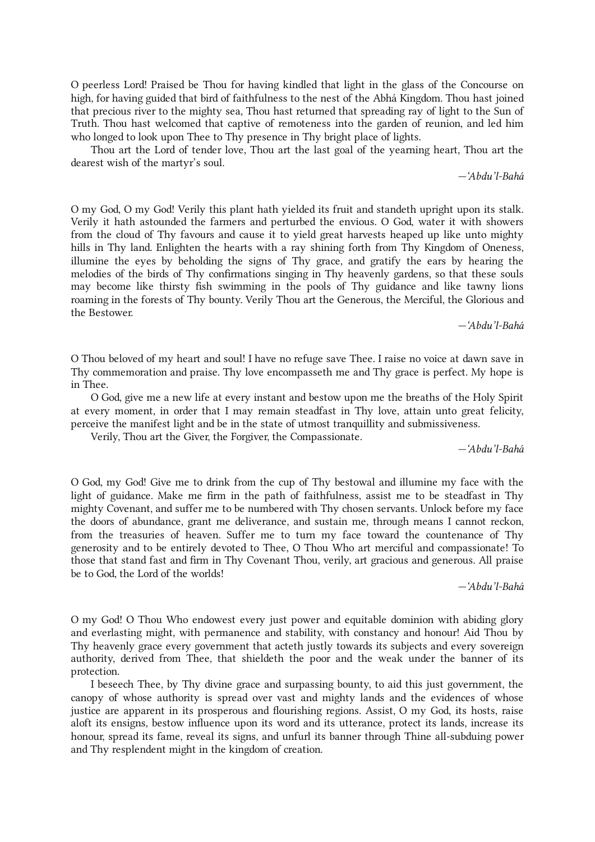O peerless Lord! Praised be Thou for having kindled that light in the glass of the Concourse on high, for having guided that bird of faithfulness to the nest of the Abhá Kingdom. Thou hast joined that precious river to the mighty sea, Thou hast returned that spreading ray of light to the Sun of Truth. Thou hast welcomed that captive of remoteness into the garden of reunion, and led him who longed to look upon Thee to Thy presence in Thy bright place of lights.

Thou art the Lord of tender love, Thou art the last goal of the yearning heart, Thou art the dearest wish of the martyr's soul.

—'Abdu'l‑Bahá

O my God, O my God! Verily this plant hath yielded its fruit and standeth upright upon its stalk. Verily it hath astounded the farmers and perturbed the envious. O God, water it with showers from the cloud of Thy favours and cause it to yield great harvests heaped up like unto mighty hills in Thy land. Enlighten the hearts with a ray shining forth from Thy Kingdom of Oneness, illumine the eyes by beholding the signs of Thy grace, and gratify the ears by hearing the melodies of the birds of Thy confirmations singing in Thy heavenly gardens, so that these souls may become like thirsty fish swimming in the pools of Thy guidance and like tawny lions roaming in the forests of Thy bounty. Verily Thou art the Generous, the Merciful, the Glorious and the Bestower.

—'Abdu'l‑Bahá

O Thou beloved of my heart and soul! I have no refuge save Thee. I raise no voice at dawn save in Thy commemoration and praise. Thy love encompasseth me and Thy grace is perfect. My hope is in Thee.

O God, give me a new life at every instant and bestow upon me the breaths of the Holy Spirit at every moment, in order that I may remain steadfast in Thy love, attain unto great felicity, perceive the manifest light and be in the state of utmost tranquillity and submissiveness.

Verily, Thou art the Giver, the Forgiver, the Compassionate.

—'Abdu'l‑Bahá

O God, my God! Give me to drink from the cup of Thy bestowal and illumine my face with the light of guidance. Make me firm in the path of faithfulness, assist me to be steadfast in Thy mighty Covenant, and suffer me to be numbered with Thy chosen servants. Unlock before my face the doors of abundance, grant me deliverance, and sustain me, through means I cannot reckon, from the treasuries of heaven. Suffer me to turn my face toward the countenance of Thy generosity and to be entirely devoted to Thee, O Thou Who art merciful and compassionate! To those that stand fast and firm in Thy Covenant Thou, verily, art gracious and generous. All praise be to God, the Lord of the worlds!

—'Abdu'l‑Bahá

O my God! O Thou Who endowest every just power and equitable dominion with abiding glory and everlasting might, with permanence and stability, with constancy and honour! Aid Thou by Thy heavenly grace every government that acteth justly towards its subjects and every sovereign authority, derived from Thee, that shieldeth the poor and the weak under the banner of its protection.

I beseech Thee, by Thy divine grace and surpassing bounty, to aid this just government, the canopy of whose authority is spread over vast and mighty lands and the evidences of whose justice are apparent in its prosperous and flourishing regions. Assist, O my God, its hosts, raise aloft its ensigns, bestow influence upon its word and its utterance, protect its lands, increase its honour, spread its fame, reveal its signs, and unfurl its banner through Thine all-subduing power and Thy resplendent might in the kingdom of creation.